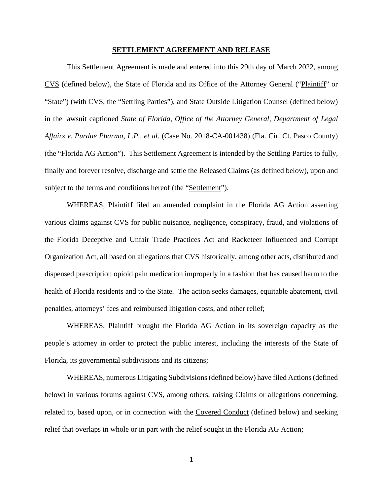## **SETTLEMENT AGREEMENT AND RELEASE**

This Settlement Agreement is made and entered into this 29th day of March 2022, among CVS (defined below), the State of Florida and its Office of the Attorney General ("Plaintiff" or "State") (with CVS, the "Settling Parties"), and State Outside Litigation Counsel (defined below) in the lawsuit captioned *State of Florida, Office of the Attorney General, Department of Legal Affairs v. Purdue Pharma, L.P., et al*. (Case No. 2018-CA-001438) (Fla. Cir. Ct. Pasco County) (the "Florida AG Action"). This Settlement Agreement is intended by the Settling Parties to fully, finally and forever resolve, discharge and settle the Released Claims (as defined below), upon and subject to the terms and conditions hereof (the "Settlement").

WHEREAS, Plaintiff filed an amended complaint in the Florida AG Action asserting various claims against CVS for public nuisance, negligence, conspiracy, fraud, and violations of the Florida Deceptive and Unfair Trade Practices Act and Racketeer Influenced and Corrupt Organization Act, all based on allegations that CVS historically, among other acts, distributed and dispensed prescription opioid pain medication improperly in a fashion that has caused harm to the health of Florida residents and to the State. The action seeks damages, equitable abatement, civil penalties, attorneys' fees and reimbursed litigation costs, and other relief;

WHEREAS, Plaintiff brought the Florida AG Action in its sovereign capacity as the people's attorney in order to protect the public interest, including the interests of the State of Florida, its governmental subdivisions and its citizens;

WHEREAS, numerous Litigating Subdivisions (defined below) have filed Actions (defined below) in various forums against CVS, among others, raising Claims or allegations concerning, related to, based upon, or in connection with the Covered Conduct (defined below) and seeking relief that overlaps in whole or in part with the relief sought in the Florida AG Action;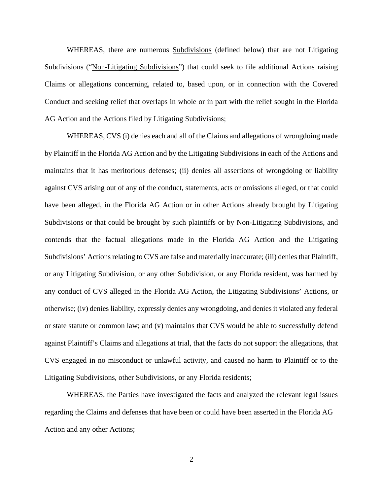WHEREAS, there are numerous **Subdivisions** (defined below) that are not Litigating Subdivisions ("Non-Litigating Subdivisions") that could seek to file additional Actions raising Claims or allegations concerning, related to, based upon, or in connection with the Covered Conduct and seeking relief that overlaps in whole or in part with the relief sought in the Florida AG Action and the Actions filed by Litigating Subdivisions;

WHEREAS, CVS (i) denies each and all of the Claims and allegations of wrongdoing made by Plaintiff in the Florida AG Action and by the Litigating Subdivisions in each of the Actions and maintains that it has meritorious defenses; (ii) denies all assertions of wrongdoing or liability against CVS arising out of any of the conduct, statements, acts or omissions alleged, or that could have been alleged, in the Florida AG Action or in other Actions already brought by Litigating Subdivisions or that could be brought by such plaintiffs or by Non-Litigating Subdivisions, and contends that the factual allegations made in the Florida AG Action and the Litigating Subdivisions' Actions relating to CVS are false and materially inaccurate; (iii) denies that Plaintiff, or any Litigating Subdivision, or any other Subdivision, or any Florida resident, was harmed by any conduct of CVS alleged in the Florida AG Action, the Litigating Subdivisions' Actions, or otherwise; (iv) denies liability, expressly denies any wrongdoing, and denies it violated any federal or state statute or common law; and (v) maintains that CVS would be able to successfully defend against Plaintiff's Claims and allegations at trial, that the facts do not support the allegations, that CVS engaged in no misconduct or unlawful activity, and caused no harm to Plaintiff or to the Litigating Subdivisions, other Subdivisions, or any Florida residents;

WHEREAS, the Parties have investigated the facts and analyzed the relevant legal issues regarding the Claims and defenses that have been or could have been asserted in the Florida AG Action and any other Actions;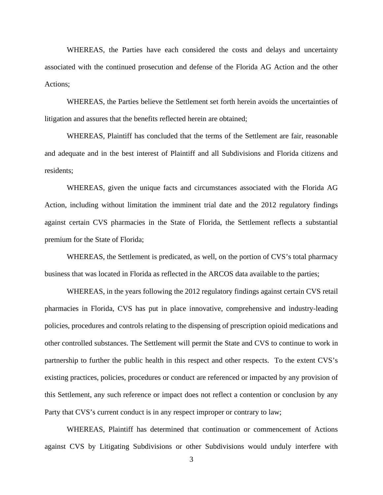WHEREAS, the Parties have each considered the costs and delays and uncertainty associated with the continued prosecution and defense of the Florida AG Action and the other Actions;

WHEREAS, the Parties believe the Settlement set forth herein avoids the uncertainties of litigation and assures that the benefits reflected herein are obtained;

WHEREAS, Plaintiff has concluded that the terms of the Settlement are fair, reasonable and adequate and in the best interest of Plaintiff and all Subdivisions and Florida citizens and residents;

WHEREAS, given the unique facts and circumstances associated with the Florida AG Action, including without limitation the imminent trial date and the 2012 regulatory findings against certain CVS pharmacies in the State of Florida, the Settlement reflects a substantial premium for the State of Florida;

WHEREAS, the Settlement is predicated, as well, on the portion of CVS's total pharmacy business that was located in Florida as reflected in the ARCOS data available to the parties;

WHEREAS, in the years following the 2012 regulatory findings against certain CVS retail pharmacies in Florida, CVS has put in place innovative, comprehensive and industry-leading policies, procedures and controls relating to the dispensing of prescription opioid medications and other controlled substances. The Settlement will permit the State and CVS to continue to work in partnership to further the public health in this respect and other respects. To the extent CVS's existing practices, policies, procedures or conduct are referenced or impacted by any provision of this Settlement, any such reference or impact does not reflect a contention or conclusion by any Party that CVS's current conduct is in any respect improper or contrary to law;

WHEREAS, Plaintiff has determined that continuation or commencement of Actions against CVS by Litigating Subdivisions or other Subdivisions would unduly interfere with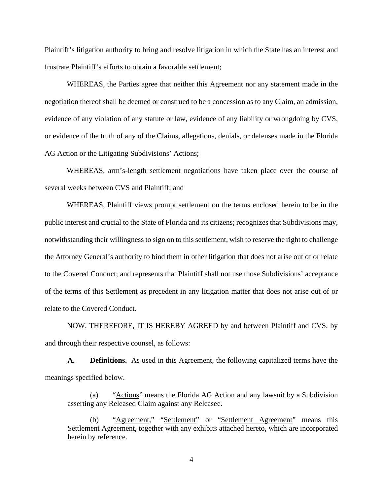Plaintiff's litigation authority to bring and resolve litigation in which the State has an interest and frustrate Plaintiff's efforts to obtain a favorable settlement;

WHEREAS, the Parties agree that neither this Agreement nor any statement made in the negotiation thereof shall be deemed or construed to be a concession as to any Claim, an admission, evidence of any violation of any statute or law, evidence of any liability or wrongdoing by CVS, or evidence of the truth of any of the Claims, allegations, denials, or defenses made in the Florida AG Action or the Litigating Subdivisions' Actions;

WHEREAS, arm's-length settlement negotiations have taken place over the course of several weeks between CVS and Plaintiff; and

WHEREAS, Plaintiff views prompt settlement on the terms enclosed herein to be in the public interest and crucial to the State of Florida and its citizens; recognizes that Subdivisions may, notwithstanding their willingness to sign on to this settlement, wish to reserve the right to challenge the Attorney General's authority to bind them in other litigation that does not arise out of or relate to the Covered Conduct; and represents that Plaintiff shall not use those Subdivisions' acceptance of the terms of this Settlement as precedent in any litigation matter that does not arise out of or relate to the Covered Conduct.

NOW, THEREFORE, IT IS HEREBY AGREED by and between Plaintiff and CVS, by and through their respective counsel, as follows:

**A. Definitions.** As used in this Agreement, the following capitalized terms have the meanings specified below.

(a) "Actions" means the Florida AG Action and any lawsuit by a Subdivision asserting any Released Claim against any Releasee.

"Agreement," "Settlement" or "Settlement Agreement" means this Settlement Agreement, together with any exhibits attached hereto, which are incorporated herein by reference.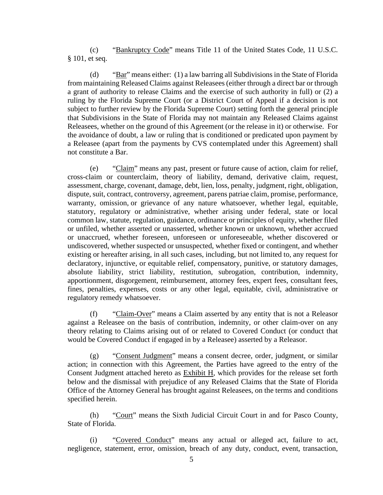(c) "Bankruptcy Code" means Title 11 of the United States Code, 11 U.S.C. § 101, et seq.

(d) "Bar" means either: (1) a law barring all Subdivisions in the State of Florida from maintaining Released Claims against Releasees (either through a direct bar or through a grant of authority to release Claims and the exercise of such authority in full) or (2) a ruling by the Florida Supreme Court (or a District Court of Appeal if a decision is not subject to further review by the Florida Supreme Court) setting forth the general principle that Subdivisions in the State of Florida may not maintain any Released Claims against Releasees, whether on the ground of this Agreement (or the release in it) or otherwise. For the avoidance of doubt, a law or ruling that is conditioned or predicated upon payment by a Releasee (apart from the payments by CVS contemplated under this Agreement) shall not constitute a Bar.

(e) "Claim" means any past, present or future cause of action, claim for relief, cross-claim or counterclaim, theory of liability, demand, derivative claim, request, assessment, charge, covenant, damage, debt, lien, loss, penalty, judgment, right, obligation, dispute, suit, contract, controversy, agreement, parens patriae claim, promise, performance, warranty, omission, or grievance of any nature whatsoever, whether legal, equitable, statutory, regulatory or administrative, whether arising under federal, state or local common law, statute, regulation, guidance, ordinance or principles of equity, whether filed or unfiled, whether asserted or unasserted, whether known or unknown, whether accrued or unaccrued, whether foreseen, unforeseen or unforeseeable, whether discovered or undiscovered, whether suspected or unsuspected, whether fixed or contingent, and whether existing or hereafter arising, in all such cases, including, but not limited to, any request for declaratory, injunctive, or equitable relief, compensatory, punitive, or statutory damages, absolute liability, strict liability, restitution, subrogation, contribution, indemnity, apportionment, disgorgement, reimbursement, attorney fees, expert fees, consultant fees, fines, penalties, expenses, costs or any other legal, equitable, civil, administrative or regulatory remedy whatsoever.

(f) "Claim-Over" means a Claim asserted by any entity that is not a Releasor against a Releasee on the basis of contribution, indemnity, or other claim-over on any theory relating to Claims arising out of or related to Covered Conduct (or conduct that would be Covered Conduct if engaged in by a Releasee) asserted by a Releasor.

(g) "Consent Judgment" means a consent decree, order, judgment, or similar action; in connection with this Agreement, the Parties have agreed to the entry of the Consent Judgment attached hereto as Exhibit H, which provides for the release set forth below and the dismissal with prejudice of any Released Claims that the State of Florida Office of the Attorney General has brought against Releasees, on the terms and conditions specified herein.

(h) "Court" means the Sixth Judicial Circuit Court in and for Pasco County, State of Florida.

(i) "Covered Conduct" means any actual or alleged act, failure to act, negligence, statement, error, omission, breach of any duty, conduct, event, transaction,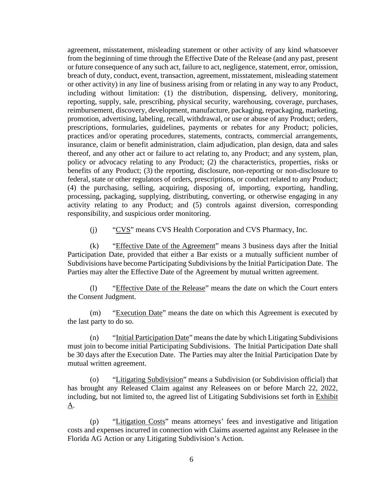agreement, misstatement, misleading statement or other activity of any kind whatsoever from the beginning of time through the Effective Date of the Release (and any past, present or future consequence of any such act, failure to act, negligence, statement, error, omission, breach of duty, conduct, event, transaction, agreement, misstatement, misleading statement or other activity) in any line of business arising from or relating in any way to any Product, including without limitation: (1) the distribution, dispensing, delivery, monitoring, reporting, supply, sale, prescribing, physical security, warehousing, coverage, purchases, reimbursement, discovery, development, manufacture, packaging, repackaging, marketing, promotion, advertising, labeling, recall, withdrawal, or use or abuse of any Product; orders, prescriptions, formularies, guidelines, payments or rebates for any Product; policies, practices and/or operating procedures, statements, contracts, commercial arrangements, insurance, claim or benefit administration, claim adjudication, plan design, data and sales thereof, and any other act or failure to act relating to, any Product; and any system, plan, policy or advocacy relating to any Product; (2) the characteristics, properties, risks or benefits of any Product; (3) the reporting, disclosure, non-reporting or non-disclosure to federal, state or other regulators of orders, prescriptions, or conduct related to any Product; (4) the purchasing, selling, acquiring, disposing of, importing, exporting, handling, processing, packaging, supplying, distributing, converting, or otherwise engaging in any activity relating to any Product; and (5) controls against diversion, corresponding responsibility, and suspicious order monitoring.

(j) "CVS" means CVS Health Corporation and CVS Pharmacy, Inc.

(k) "Effective Date of the Agreement" means 3 business days after the Initial Participation Date, provided that either a Bar exists or a mutually sufficient number of Subdivisions have become Participating Subdivisions by the Initial Participation Date. The Parties may alter the Effective Date of the Agreement by mutual written agreement.

(l) "Effective Date of the Release" means the date on which the Court enters the Consent Judgment.

(m) "Execution Date" means the date on which this Agreement is executed by the last party to do so.

(n) "Initial Participation Date" means the date by which Litigating Subdivisions must join to become initial Participating Subdivisions. The Initial Participation Date shall be 30 days after the Execution Date. The Parties may alter the Initial Participation Date by mutual written agreement.

(o) "Litigating Subdivision" means a Subdivision (or Subdivision official) that has brought any Released Claim against any Releasees on or before March 22, 2022, including, but not limited to, the agreed list of Litigating Subdivisions set forth in Exhibit A.

(p) "Litigation Costs" means attorneys' fees and investigative and litigation costs and expenses incurred in connection with Claims asserted against any Releasee in the Florida AG Action or any Litigating Subdivision's Action.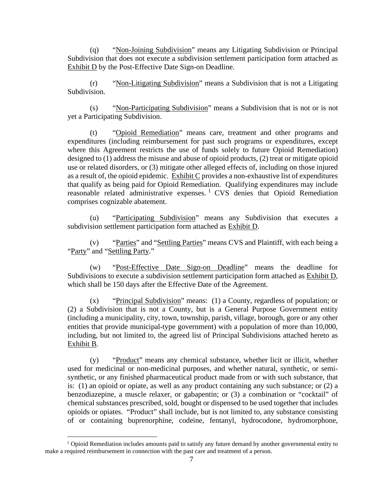(q) "Non-Joining Subdivision" means any Litigating Subdivision or Principal Subdivision that does not execute a subdivision settlement participation form attached as Exhibit D by the Post-Effective Date Sign-on Deadline.

(r) "Non-Litigating Subdivision" means a Subdivision that is not a Litigating Subdivision.

(s) "Non-Participating Subdivision" means a Subdivision that is not or is not yet a Participating Subdivision.

(t) "Opioid Remediation" means care, treatment and other programs and expenditures (including reimbursement for past such programs or expenditures, except where this Agreement restricts the use of funds solely to future Opioid Remediation) designed to (1) address the misuse and abuse of opioid products, (2) treat or mitigate opioid use or related disorders, or (3) mitigate other alleged effects of, including on those injured as a result of, the opioid epidemic. Exhibit C provides a non-exhaustive list of expenditures that qualify as being paid for Opioid Remediation. Qualifying expenditures may include reasonable related administrative expenses.<sup>1</sup> CVS denies that Opioid Remediation comprises cognizable abatement.

(u) "Participating Subdivision" means any Subdivision that executes a subdivision settlement participation form attached as Exhibit D.

(v) "Parties" and "Settling Parties" means CVS and Plaintiff, with each being a "Party" and "Settling Party."

(w) "Post-Effective Date Sign-on Deadline" means the deadline for Subdivisions to execute a subdivision settlement participation form attached as Exhibit D, which shall be 150 days after the Effective Date of the Agreement.

(x) "Principal Subdivision" means: (1) a County, regardless of population; or (2) a Subdivision that is not a County, but is a General Purpose Government entity (including a municipality, city, town, township, parish, village, borough, gore or any other entities that provide municipal-type government) with a population of more than 10,000, including, but not limited to, the agreed list of Principal Subdivisions attached hereto as Exhibit B.

(y) "Product" means any chemical substance, whether licit or illicit, whether used for medicinal or non-medicinal purposes, and whether natural, synthetic, or semisynthetic, or any finished pharmaceutical product made from or with such substance, that is: (1) an opioid or opiate, as well as any product containing any such substance; or (2) a benzodiazepine, a muscle relaxer, or gabapentin; or (3) a combination or "cocktail" of chemical substances prescribed, sold, bought or dispensed to be used together that includes opioids or opiates. "Product" shall include, but is not limited to, any substance consisting of or containing buprenorphine, codeine, fentanyl, hydrocodone, hydromorphone,

<sup>&</sup>lt;sup>1</sup> Opioid Remediation includes amounts paid to satisfy any future demand by another governmental entity to make a required reimbursement in connection with the past care and treatment of a person.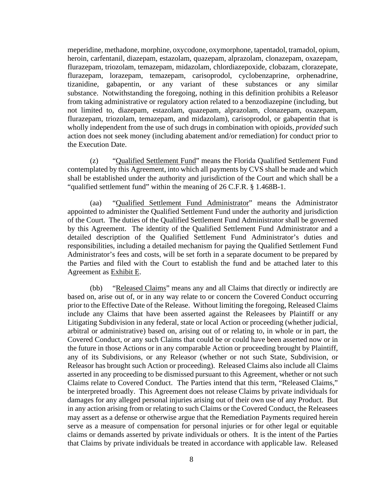meperidine, methadone, morphine, oxycodone, oxymorphone, tapentadol, tramadol, opium, heroin, carfentanil, diazepam, estazolam, quazepam, alprazolam, clonazepam, oxazepam, flurazepam, triozolam, temazepam, midazolam, chlordiazepoxide, clobazam, clorazepate, flurazepam, lorazepam, temazepam, carisoprodol, cyclobenzaprine, orphenadrine, tizanidine, gabapentin, or any variant of these substances or any similar substance. Notwithstanding the foregoing, nothing in this definition prohibits a Releasor from taking administrative or regulatory action related to a benzodiazepine (including, but not limited to, diazepam, estazolam, quazepam, alprazolam, clonazepam, oxazepam, flurazepam, triozolam, temazepam, and midazolam), carisoprodol, or gabapentin that is wholly independent from the use of such drugs in combination with opioids, *provided* such action does not seek money (including abatement and/or remediation) for conduct prior to the Execution Date.

(z) "Qualified Settlement Fund" means the Florida Qualified Settlement Fund contemplated by this Agreement, into which all payments by CVS shall be made and which shall be established under the authority and jurisdiction of the Court and which shall be a "qualified settlement fund" within the meaning of 26 C.F.R. § 1.468B-1.

(aa) "Qualified Settlement Fund Administrator" means the Administrator appointed to administer the Qualified Settlement Fund under the authority and jurisdiction of the Court. The duties of the Qualified Settlement Fund Administrator shall be governed by this Agreement. The identity of the Qualified Settlement Fund Administrator and a detailed description of the Qualified Settlement Fund Administrator's duties and responsibilities, including a detailed mechanism for paying the Qualified Settlement Fund Administrator's fees and costs, will be set forth in a separate document to be prepared by the Parties and filed with the Court to establish the fund and be attached later to this Agreement as Exhibit E.

(bb) "Released Claims" means any and all Claims that directly or indirectly are based on, arise out of, or in any way relate to or concern the Covered Conduct occurring prior to the Effective Date of the Release. Without limiting the foregoing, Released Claims include any Claims that have been asserted against the Releasees by Plaintiff or any Litigating Subdivision in any federal, state or local Action or proceeding (whether judicial, arbitral or administrative) based on, arising out of or relating to, in whole or in part, the Covered Conduct, or any such Claims that could be or could have been asserted now or in the future in those Actions or in any comparable Action or proceeding brought by Plaintiff, any of its Subdivisions, or any Releasor (whether or not such State, Subdivision, or Releasor has brought such Action or proceeding). Released Claims also include all Claims asserted in any proceeding to be dismissed pursuant to this Agreement, whether or not such Claims relate to Covered Conduct. The Parties intend that this term, "Released Claims," be interpreted broadly. This Agreement does not release Claims by private individuals for damages for any alleged personal injuries arising out of their own use of any Product. But in any action arising from or relating to such Claims or the Covered Conduct, the Releasees may assert as a defense or otherwise argue that the Remediation Payments required herein serve as a measure of compensation for personal injuries or for other legal or equitable claims or demands asserted by private individuals or others. It is the intent of the Parties that Claims by private individuals be treated in accordance with applicable law. Released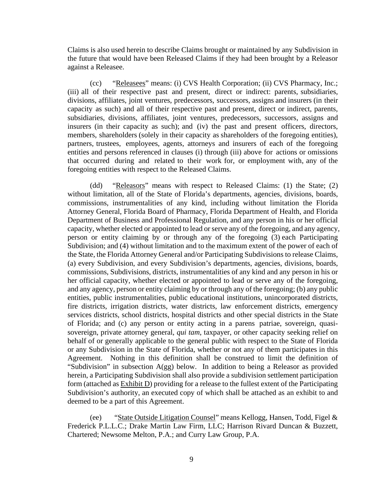Claims is also used herein to describe Claims brought or maintained by any Subdivision in the future that would have been Released Claims if they had been brought by a Releasor against a Releasee.

(cc) "Releasees" means: (i) CVS Health Corporation; (ii) CVS Pharmacy, Inc.; (iii) all of their respective past and present, direct or indirect: parents, subsidiaries, divisions, affiliates, joint ventures, predecessors, successors, assigns and insurers (in their capacity as such) and all of their respective past and present, direct or indirect, parents, subsidiaries, divisions, affiliates, joint ventures, predecessors, successors, assigns and insurers (in their capacity as such); and (iv) the past and present officers, directors, members, shareholders (solely in their capacity as shareholders of the foregoing entities), partners, trustees, employees, agents, attorneys and insurers of each of the foregoing entities and persons referenced in clauses (i) through (iii) above for actions or omissions that occurred during and related to their work for, or employment with, any of the foregoing entities with respect to the Released Claims.

(dd) "Releasors" means with respect to Released Claims: (1) the State; (2) without limitation, all of the State of Florida's departments, agencies, divisions, boards, commissions, instrumentalities of any kind, including without limitation the Florida Attorney General, Florida Board of Pharmacy, Florida Department of Health, and Florida Department of Business and Professional Regulation, and any person in his or her official capacity, whether elected or appointed to lead or serve any of the foregoing, and any agency, person or entity claiming by or through any of the foregoing (3) each Participating Subdivision; and (4) without limitation and to the maximum extent of the power of each of the State, the Florida Attorney General and/or Participating Subdivisions to release Claims, (a) every Subdivision, and every Subdivision's departments, agencies, divisions, boards, commissions, Subdivisions, districts, instrumentalities of any kind and any person in his or her official capacity, whether elected or appointed to lead or serve any of the foregoing, and any agency, person or entity claiming by or through any of the foregoing; (b) any public entities, public instrumentalities, public educational institutions, unincorporated districts, fire districts, irrigation districts, water districts, law enforcement districts, emergency services districts, school districts, hospital districts and other special districts in the State of Florida; and (c) any person or entity acting in a parens patriae, sovereign, quasisovereign, private attorney general, *qui tam*, taxpayer, or other capacity seeking relief on behalf of or generally applicable to the general public with respect to the State of Florida or any Subdivision in the State of Florida, whether or not any of them participates in this Agreement. Nothing in this definition shall be construed to limit the definition of "Subdivision" in subsection A(gg) below. In addition to being a Releasor as provided herein, a Participating Subdivision shall also provide a subdivision settlement participation form (attached as Exhibit D) providing for a release to the fullest extent of the Participating Subdivision's authority, an executed copy of which shall be attached as an exhibit to and deemed to be a part of this Agreement.

(ee) "State Outside Litigation Counsel" means Kellogg, Hansen, Todd, Figel & Frederick P.L.L.C.; Drake Martin Law Firm, LLC; Harrison Rivard Duncan & Buzzett, Chartered; Newsome Melton, P.A.; and Curry Law Group, P.A.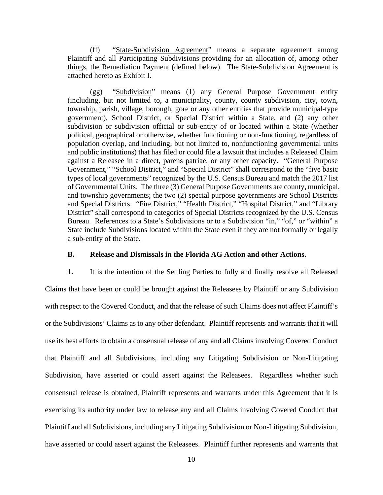(ff) "State-Subdivision Agreement" means a separate agreement among Plaintiff and all Participating Subdivisions providing for an allocation of, among other things, the Remediation Payment (defined below). The State-Subdivision Agreement is attached hereto as Exhibit I.

(gg) "Subdivision" means (1) any General Purpose Government entity (including, but not limited to, a municipality, county, county subdivision, city, town, township, parish, village, borough, gore or any other entities that provide municipal-type government), School District, or Special District within a State, and (2) any other subdivision or subdivision official or sub-entity of or located within a State (whether political, geographical or otherwise, whether functioning or non-functioning, regardless of population overlap, and including, but not limited to, nonfunctioning governmental units and public institutions) that has filed or could file a lawsuit that includes a Released Claim against a Releasee in a direct, parens patriae, or any other capacity. "General Purpose Government," "School District," and "Special District" shall correspond to the "five basic types of local governments" recognized by the U.S. Census Bureau and match the 2017 list of Governmental Units. The three (3) General Purpose Governments are county, municipal, and township governments; the two (2) special purpose governments are School Districts and Special Districts. "Fire District," "Health District," "Hospital District," and "Library District" shall correspond to categories of Special Districts recognized by the U.S. Census Bureau. References to a State's Subdivisions or to a Subdivision "in," "of," or "within" a State include Subdivisions located within the State even if they are not formally or legally a sub-entity of the State.

## **B. Release and Dismissals in the Florida AG Action and other Actions.**

**1.** It is the intention of the Settling Parties to fully and finally resolve all Released Claims that have been or could be brought against the Releasees by Plaintiff or any Subdivision with respect to the Covered Conduct, and that the release of such Claims does not affect Plaintiff's or the Subdivisions' Claims as to any other defendant. Plaintiff represents and warrants that it will use its best efforts to obtain a consensual release of any and all Claims involving Covered Conduct that Plaintiff and all Subdivisions, including any Litigating Subdivision or Non-Litigating Subdivision, have asserted or could assert against the Releasees. Regardless whether such consensual release is obtained, Plaintiff represents and warrants under this Agreement that it is exercising its authority under law to release any and all Claims involving Covered Conduct that Plaintiff and all Subdivisions, including any Litigating Subdivision or Non-Litigating Subdivision, have asserted or could assert against the Releasees. Plaintiff further represents and warrants that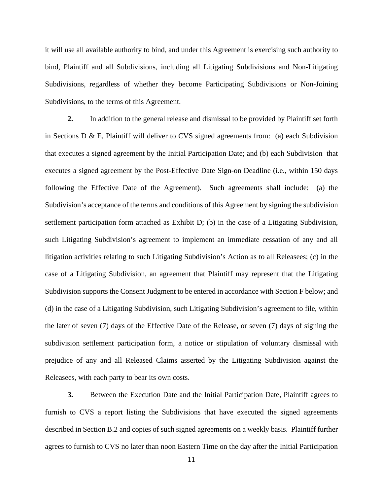it will use all available authority to bind, and under this Agreement is exercising such authority to bind, Plaintiff and all Subdivisions, including all Litigating Subdivisions and Non-Litigating Subdivisions, regardless of whether they become Participating Subdivisions or Non-Joining Subdivisions, to the terms of this Agreement.

**2.** In addition to the general release and dismissal to be provided by Plaintiff set forth in Sections D & E, Plaintiff will deliver to CVS signed agreements from: (a) each Subdivision that executes a signed agreement by the Initial Participation Date; and (b) each Subdivision that executes a signed agreement by the Post-Effective Date Sign-on Deadline (i.e., within 150 days following the Effective Date of the Agreement). Such agreements shall include: (a) the Subdivision's acceptance of the terms and conditions of this Agreement by signing the subdivision settlement participation form attached as Exhibit D; (b) in the case of a Litigating Subdivision, such Litigating Subdivision's agreement to implement an immediate cessation of any and all litigation activities relating to such Litigating Subdivision's Action as to all Releasees; (c) in the case of a Litigating Subdivision, an agreement that Plaintiff may represent that the Litigating Subdivision supports the Consent Judgment to be entered in accordance with Section F below; and (d) in the case of a Litigating Subdivision, such Litigating Subdivision's agreement to file, within the later of seven (7) days of the Effective Date of the Release, or seven (7) days of signing the subdivision settlement participation form, a notice or stipulation of voluntary dismissal with prejudice of any and all Released Claims asserted by the Litigating Subdivision against the Releasees, with each party to bear its own costs.

**3.** Between the Execution Date and the Initial Participation Date, Plaintiff agrees to furnish to CVS a report listing the Subdivisions that have executed the signed agreements described in Section B.2 and copies of such signed agreements on a weekly basis. Plaintiff further agrees to furnish to CVS no later than noon Eastern Time on the day after the Initial Participation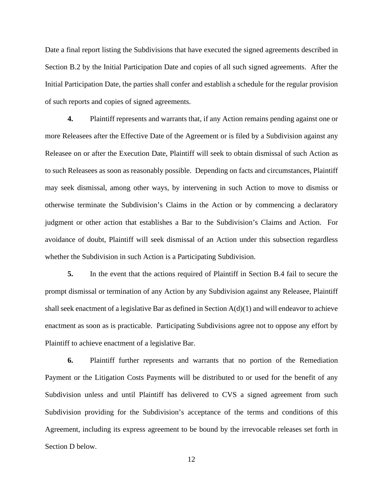Date a final report listing the Subdivisions that have executed the signed agreements described in Section B.2 by the Initial Participation Date and copies of all such signed agreements. After the Initial Participation Date, the parties shall confer and establish a schedule for the regular provision of such reports and copies of signed agreements.

**4.** Plaintiff represents and warrants that, if any Action remains pending against one or more Releasees after the Effective Date of the Agreement or is filed by a Subdivision against any Releasee on or after the Execution Date, Plaintiff will seek to obtain dismissal of such Action as to such Releasees as soon as reasonably possible. Depending on facts and circumstances, Plaintiff may seek dismissal, among other ways, by intervening in such Action to move to dismiss or otherwise terminate the Subdivision's Claims in the Action or by commencing a declaratory judgment or other action that establishes a Bar to the Subdivision's Claims and Action. For avoidance of doubt, Plaintiff will seek dismissal of an Action under this subsection regardless whether the Subdivision in such Action is a Participating Subdivision.

**5.** In the event that the actions required of Plaintiff in Section B.4 fail to secure the prompt dismissal or termination of any Action by any Subdivision against any Releasee, Plaintiff shall seek enactment of a legislative Bar as defined in Section  $A(d)(1)$  and will endeavor to achieve enactment as soon as is practicable. Participating Subdivisions agree not to oppose any effort by Plaintiff to achieve enactment of a legislative Bar.

**6.** Plaintiff further represents and warrants that no portion of the Remediation Payment or the Litigation Costs Payments will be distributed to or used for the benefit of any Subdivision unless and until Plaintiff has delivered to CVS a signed agreement from such Subdivision providing for the Subdivision's acceptance of the terms and conditions of this Agreement, including its express agreement to be bound by the irrevocable releases set forth in Section D below.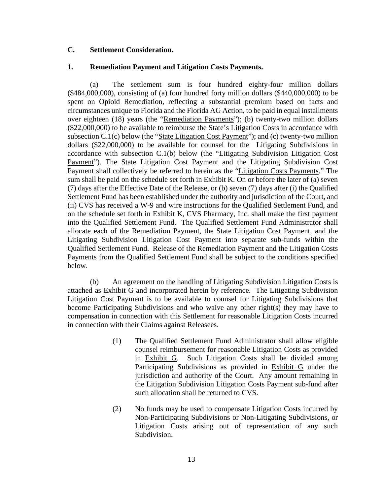## **C. Settlement Consideration.**

## **1. Remediation Payment and Litigation Costs Payments.**

(a) The settlement sum is four hundred eighty-four million dollars  $(\$484,000,000)$ , consisting of (a) four hundred forty million dollars  $(\$440,000,000)$  to be spent on Opioid Remediation, reflecting a substantial premium based on facts and circumstances unique to Florida and the Florida AG Action, to be paid in equal installments over eighteen (18) years (the "Remediation Payments"); (b) twenty-two million dollars (\$22,000,000) to be available to reimburse the State's Litigation Costs in accordance with subsection  $C.1(c)$  below (the "State Litigation Cost Payment"); and (c) twenty-two million dollars (\$22,000,000) to be available for counsel for the Litigating Subdivisions in accordance with subsection C.1(b) below (the "Litigating Subdivision Litigation Cost Payment"). The State Litigation Cost Payment and the Litigating Subdivision Cost Payment shall collectively be referred to herein as the "Litigation Costs Payments." The sum shall be paid on the schedule set forth in Exhibit K. On or before the later of (a) seven (7) days after the Effective Date of the Release, or (b) seven (7) days after (i) the Qualified Settlement Fund has been established under the authority and jurisdiction of the Court, and (ii) CVS has received a W-9 and wire instructions for the Qualified Settlement Fund, and on the schedule set forth in Exhibit K, CVS Pharmacy, Inc. shall make the first payment into the Qualified Settlement Fund. The Qualified Settlement Fund Administrator shall allocate each of the Remediation Payment, the State Litigation Cost Payment, and the Litigating Subdivision Litigation Cost Payment into separate sub-funds within the Qualified Settlement Fund. Release of the Remediation Payment and the Litigation Costs Payments from the Qualified Settlement Fund shall be subject to the conditions specified below.

(b) An agreement on the handling of Litigating Subdivision Litigation Costs is attached as Exhibit G and incorporated herein by reference. The Litigating Subdivision Litigation Cost Payment is to be available to counsel for Litigating Subdivisions that become Participating Subdivisions and who waive any other right(s) they may have to compensation in connection with this Settlement for reasonable Litigation Costs incurred in connection with their Claims against Releasees.

- (1) The Qualified Settlement Fund Administrator shall allow eligible counsel reimbursement for reasonable Litigation Costs as provided in Exhibit G. Such Litigation Costs shall be divided among Participating Subdivisions as provided in **Exhibit G** under the jurisdiction and authority of the Court. Any amount remaining in the Litigation Subdivision Litigation Costs Payment sub-fund after such allocation shall be returned to CVS.
- (2) No funds may be used to compensate Litigation Costs incurred by Non-Participating Subdivisions or Non-Litigating Subdivisions, or Litigation Costs arising out of representation of any such Subdivision.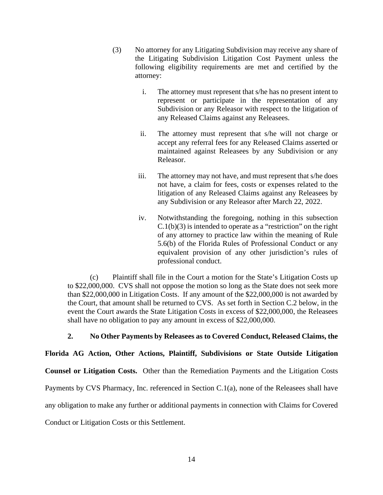- (3) No attorney for any Litigating Subdivision may receive any share of the Litigating Subdivision Litigation Cost Payment unless the following eligibility requirements are met and certified by the attorney:
	- i. The attorney must represent that s/he has no present intent to represent or participate in the representation of any Subdivision or any Releasor with respect to the litigation of any Released Claims against any Releasees.
	- ii. The attorney must represent that s/he will not charge or accept any referral fees for any Released Claims asserted or maintained against Releasees by any Subdivision or any Releasor.
	- iii. The attorney may not have, and must represent that s/he does not have, a claim for fees, costs or expenses related to the litigation of any Released Claims against any Releasees by any Subdivision or any Releasor after March 22, 2022.
	- iv. Notwithstanding the foregoing, nothing in this subsection  $C.1(b)(3)$  is intended to operate as a "restriction" on the right of any attorney to practice law within the meaning of Rule 5.6(b) of the Florida Rules of Professional Conduct or any equivalent provision of any other jurisdiction's rules of professional conduct.

(c) Plaintiff shall file in the Court a motion for the State's Litigation Costs up to \$22,000,000. CVS shall not oppose the motion so long as the State does not seek more than \$22,000,000 in Litigation Costs. If any amount of the \$22,000,000 is not awarded by the Court, that amount shall be returned to CVS. As set forth in Section C.2 below, in the event the Court awards the State Litigation Costs in excess of \$22,000,000, the Releasees shall have no obligation to pay any amount in excess of \$22,000,000.

# **2. No Other Payments by Releasees as to Covered Conduct, Released Claims, the**

**Florida AG Action, Other Actions, Plaintiff, Subdivisions or State Outside Litigation** 

**Counsel or Litigation Costs.** Other than the Remediation Payments and the Litigation Costs

Payments by CVS Pharmacy, Inc. referenced in Section C.1(a), none of the Releasees shall have

any obligation to make any further or additional payments in connection with Claims for Covered

Conduct or Litigation Costs or this Settlement.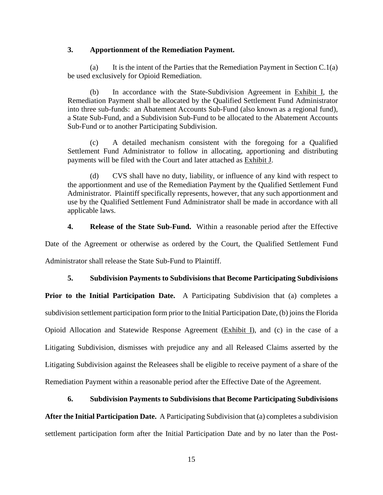#### **3. Apportionment of the Remediation Payment.**

(a) It is the intent of the Parties that the Remediation Payment in Section C.1(a) be used exclusively for Opioid Remediation.

(b) In accordance with the State-Subdivision Agreement in Exhibit I, the Remediation Payment shall be allocated by the Qualified Settlement Fund Administrator into three sub-funds: an Abatement Accounts Sub-Fund (also known as a regional fund), a State Sub-Fund, and a Subdivision Sub-Fund to be allocated to the Abatement Accounts Sub-Fund or to another Participating Subdivision.

(c) A detailed mechanism consistent with the foregoing for a Qualified Settlement Fund Administrator to follow in allocating, apportioning and distributing payments will be filed with the Court and later attached as Exhibit J.

(d) CVS shall have no duty, liability, or influence of any kind with respect to the apportionment and use of the Remediation Payment by the Qualified Settlement Fund Administrator. Plaintiff specifically represents, however, that any such apportionment and use by the Qualified Settlement Fund Administrator shall be made in accordance with all applicable laws.

**4. Release of the State Sub-Fund.** Within a reasonable period after the Effective

Date of the Agreement or otherwise as ordered by the Court, the Qualified Settlement Fund Administrator shall release the State Sub-Fund to Plaintiff.

## **5. Subdivision Payments to Subdivisions that Become Participating Subdivisions**

Prior to the Initial Participation Date. A Participating Subdivision that (a) completes a subdivision settlement participation form prior to the Initial Participation Date, (b) joins the Florida Opioid Allocation and Statewide Response Agreement (Exhibit I), and (c) in the case of a Litigating Subdivision, dismisses with prejudice any and all Released Claims asserted by the Litigating Subdivision against the Releasees shall be eligible to receive payment of a share of the Remediation Payment within a reasonable period after the Effective Date of the Agreement.

## **6. Subdivision Payments to Subdivisions that Become Participating Subdivisions**

**After the Initial Participation Date.** A Participating Subdivision that (a) completes a subdivision settlement participation form after the Initial Participation Date and by no later than the Post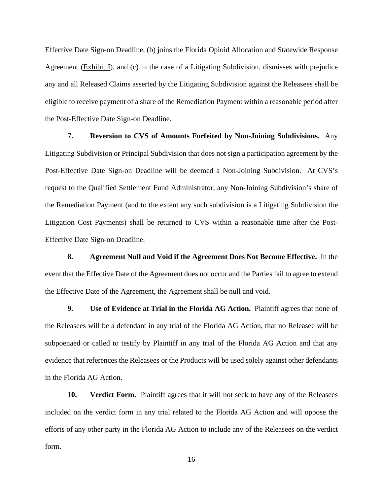Effective Date Sign-on Deadline, (b) joins the Florida Opioid Allocation and Statewide Response Agreement (Exhibit I), and (c) in the case of a Litigating Subdivision, dismisses with prejudice any and all Released Claims asserted by the Litigating Subdivision against the Releasees shall be eligible to receive payment of a share of the Remediation Payment within a reasonable period after the Post-Effective Date Sign-on Deadline.

**7. Reversion to CVS of Amounts Forfeited by Non-Joining Subdivisions.** Any Litigating Subdivision or Principal Subdivision that does not sign a participation agreement by the Post-Effective Date Sign-on Deadline will be deemed a Non-Joining Subdivision. At CVS's request to the Qualified Settlement Fund Administrator, any Non-Joining Subdivision's share of the Remediation Payment (and to the extent any such subdivision is a Litigating Subdivision the Litigation Cost Payments) shall be returned to CVS within a reasonable time after the Post-Effective Date Sign-on Deadline.

**8. Agreement Null and Void if the Agreement Does Not Become Effective.** In the event that the Effective Date of the Agreement does not occur and the Parties fail to agree to extend the Effective Date of the Agreement, the Agreement shall be null and void.

**9. Use of Evidence at Trial in the Florida AG Action.** Plaintiff agrees that none of the Releasees will be a defendant in any trial of the Florida AG Action, that no Releasee will be subpoenaed or called to testify by Plaintiff in any trial of the Florida AG Action and that any evidence that references the Releasees or the Products will be used solely against other defendants in the Florida AG Action.

**10. Verdict Form.** Plaintiff agrees that it will not seek to have any of the Releasees included on the verdict form in any trial related to the Florida AG Action and will oppose the efforts of any other party in the Florida AG Action to include any of the Releasees on the verdict form.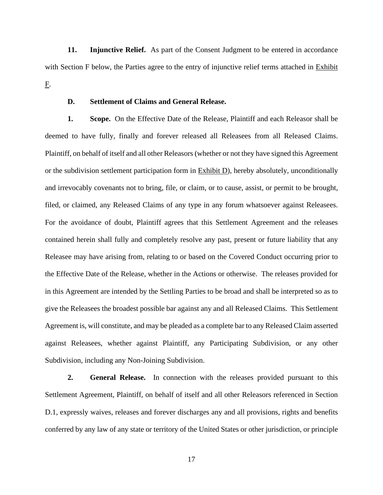**11. Injunctive Relief.** As part of the Consent Judgment to be entered in accordance with Section F below, the Parties agree to the entry of injunctive relief terms attached in Exhibit F.

## **D. Settlement of Claims and General Release.**

**1. Scope.** On the Effective Date of the Release, Plaintiff and each Releasor shall be deemed to have fully, finally and forever released all Releasees from all Released Claims. Plaintiff, on behalf of itself and all other Releasors (whether or not they have signed this Agreement or the subdivision settlement participation form in Exhibit D), hereby absolutely, unconditionally and irrevocably covenants not to bring, file, or claim, or to cause, assist, or permit to be brought, filed, or claimed, any Released Claims of any type in any forum whatsoever against Releasees. For the avoidance of doubt, Plaintiff agrees that this Settlement Agreement and the releases contained herein shall fully and completely resolve any past, present or future liability that any Releasee may have arising from, relating to or based on the Covered Conduct occurring prior to the Effective Date of the Release, whether in the Actions or otherwise. The releases provided for in this Agreement are intended by the Settling Parties to be broad and shall be interpreted so as to give the Releasees the broadest possible bar against any and all Released Claims. This Settlement Agreement is, will constitute, and may be pleaded as a complete bar to any Released Claim asserted against Releasees, whether against Plaintiff, any Participating Subdivision, or any other Subdivision, including any Non-Joining Subdivision.

**2. General Release.** In connection with the releases provided pursuant to this Settlement Agreement, Plaintiff, on behalf of itself and all other Releasors referenced in Section D.1, expressly waives, releases and forever discharges any and all provisions, rights and benefits conferred by any law of any state or territory of the United States or other jurisdiction, or principle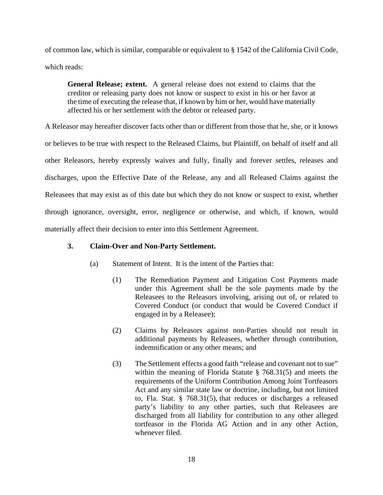of common law, which is similar, comparable or equivalent to § 1542 of the California Civil Code, which reads:

**General Release; extent.** A general release does not extend to claims that the creditor or releasing party does not know or suspect to exist in his or her favor at the time of executing the release that, if known by him or her, would have materially affected his or her settlement with the debtor or released party.

A Releasor may hereafter discover facts other than or different from those that he, she, or it knows or believes to be true with respect to the Released Claims, but Plaintiff, on behalf of itself and all other Releasors, hereby expressly waives and fully, finally and forever settles, releases and discharges, upon the Effective Date of the Release, any and all Released Claims against the Releasees that may exist as of this date but which they do not know or suspect to exist, whether through ignorance, oversight, error, negligence or otherwise, and which, if known, would materially affect their decision to enter into this Settlement Agreement.

## **3. Claim-Over and Non-Party Settlement.**

- (a) Statement of Intent. It is the intent of the Parties that:
	- (1) The Remediation Payment and Litigation Cost Payments made under this Agreement shall be the sole payments made by the Releasees to the Releasors involving, arising out of, or related to Covered Conduct (or conduct that would be Covered Conduct if engaged in by a Releasee);
	- (2) Claims by Releasors against non-Parties should not result in additional payments by Releasees, whether through contribution, indemnification or any other means; and
	- (3) The Settlement effects a good faith "release and covenant not to sue" within the meaning of Florida Statute § 768.31(5) and meets the requirements of the Uniform Contribution Among Joint Tortfeasors Act and any similar state law or doctrine, including, but not limited to, Fla. Stat. § 768.31(5), that reduces or discharges a released party's liability to any other parties, such that Releasees are discharged from all liability for contribution to any other alleged tortfeasor in the Florida AG Action and in any other Action, whenever filed.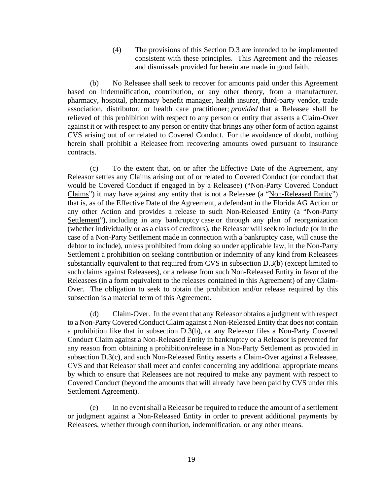(4) The provisions of this Section D.3 are intended to be implemented consistent with these principles. This Agreement and the releases and dismissals provided for herein are made in good faith.

(b) No Releasee shall seek to recover for amounts paid under this Agreement based on indemnification, contribution, or any other theory, from a manufacturer, pharmacy, hospital, pharmacy benefit manager, health insurer, third-party vendor, trade association, distributor, or health care practitioner; *provided* that a Releasee shall be relieved of this prohibition with respect to any person or entity that asserts a Claim-Over against it or with respect to any person or entity that brings any other form of action against CVS arising out of or related to Covered Conduct. For the avoidance of doubt, nothing herein shall prohibit a Releasee from recovering amounts owed pursuant to insurance contracts.

(c) To the extent that, on or after the Effective Date of the Agreement, any Releasor settles any Claims arising out of or related to Covered Conduct (or conduct that would be Covered Conduct if engaged in by a Releasee) ("Non-Party Covered Conduct Claims") it may have against any entity that is not a Releasee (a "Non-Released Entity") that is, as of the Effective Date of the Agreement, a defendant in the Florida AG Action or any other Action and provides a release to such Non-Released Entity (a "Non-Party Settlement"), including in any bankruptcy case or through any plan of reorganization (whether individually or as a class of creditors), the Releasor will seek to include (or in the case of a Non-Party Settlement made in connection with a bankruptcy case, will cause the debtor to include), unless prohibited from doing so under applicable law, in the Non-Party Settlement a prohibition on seeking contribution or indemnity of any kind from Releasees substantially equivalent to that required from CVS in subsection D.3(b) (except limited to such claims against Releasees), or a release from such Non-Released Entity in favor of the Releasees (in a form equivalent to the releases contained in this Agreement) of any Claim-Over. The obligation to seek to obtain the prohibition and/or release required by this subsection is a material term of this Agreement.

(d) Claim-Over. In the event that any Releasor obtains a judgment with respect to a Non-Party Covered Conduct Claim against a Non-Released Entity that does not contain a prohibition like that in subsection D.3(b), or any Releasor files a Non-Party Covered Conduct Claim against a Non-Released Entity in bankruptcy or a Releasor is prevented for any reason from obtaining a prohibition/release in a Non-Party Settlement as provided in subsection D.3(c), and such Non-Released Entity asserts a Claim-Over against a Releasee, CVS and that Releasor shall meet and confer concerning any additional appropriate means by which to ensure that Releasees are not required to make any payment with respect to Covered Conduct (beyond the amounts that will already have been paid by CVS under this Settlement Agreement).

(e) In no event shall a Releasor be required to reduce the amount of a settlement or judgment against a Non-Released Entity in order to prevent additional payments by Releasees, whether through contribution, indemnification, or any other means.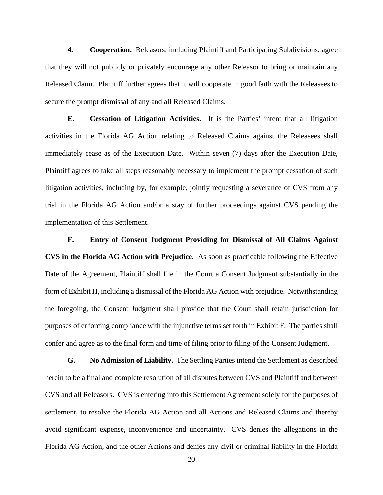**4. Cooperation.** Releasors, including Plaintiff and Participating Subdivisions, agree that they will not publicly or privately encourage any other Releasor to bring or maintain any Released Claim. Plaintiff further agrees that it will cooperate in good faith with the Releasees to secure the prompt dismissal of any and all Released Claims.

**E. Cessation of Litigation Activities.** It is the Parties' intent that all litigation activities in the Florida AG Action relating to Released Claims against the Releasees shall immediately cease as of the Execution Date. Within seven (7) days after the Execution Date, Plaintiff agrees to take all steps reasonably necessary to implement the prompt cessation of such litigation activities, including by, for example, jointly requesting a severance of CVS from any trial in the Florida AG Action and/or a stay of further proceedings against CVS pending the implementation of this Settlement.

**F. Entry of Consent Judgment Providing for Dismissal of All Claims Against CVS in the Florida AG Action with Prejudice.** As soon as practicable following the Effective Date of the Agreement, Plaintiff shall file in the Court a Consent Judgment substantially in the form of Exhibit H, including a dismissal of the Florida AG Action with prejudice. Notwithstanding the foregoing, the Consent Judgment shall provide that the Court shall retain jurisdiction for purposes of enforcing compliance with the injunctive terms set forth in Exhibit F. The parties shall confer and agree as to the final form and time of filing prior to filing of the Consent Judgment.

**G. No Admission of Liability.** The Settling Parties intend the Settlement as described herein to be a final and complete resolution of all disputes between CVS and Plaintiff and between CVS and all Releasors. CVS is entering into this Settlement Agreement solely for the purposes of settlement, to resolve the Florida AG Action and all Actions and Released Claims and thereby avoid significant expense, inconvenience and uncertainty. CVS denies the allegations in the Florida AG Action, and the other Actions and denies any civil or criminal liability in the Florida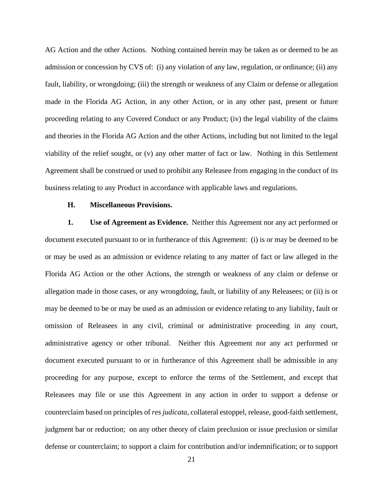AG Action and the other Actions. Nothing contained herein may be taken as or deemed to be an admission or concession by CVS of: (i) any violation of any law, regulation, or ordinance; (ii) any fault, liability, or wrongdoing; (iii) the strength or weakness of any Claim or defense or allegation made in the Florida AG Action, in any other Action, or in any other past, present or future proceeding relating to any Covered Conduct or any Product; (iv) the legal viability of the claims and theories in the Florida AG Action and the other Actions, including but not limited to the legal viability of the relief sought, or (v) any other matter of fact or law. Nothing in this Settlement Agreement shall be construed or used to prohibit any Releasee from engaging in the conduct of its business relating to any Product in accordance with applicable laws and regulations.

#### **H. Miscellaneous Provisions.**

**1. Use of Agreement as Evidence.** Neither this Agreement nor any act performed or document executed pursuant to or in furtherance of this Agreement: (i) is or may be deemed to be or may be used as an admission or evidence relating to any matter of fact or law alleged in the Florida AG Action or the other Actions, the strength or weakness of any claim or defense or allegation made in those cases, or any wrongdoing, fault, or liability of any Releasees; or (ii) is or may be deemed to be or may be used as an admission or evidence relating to any liability, fault or omission of Releasees in any civil, criminal or administrative proceeding in any court, administrative agency or other tribunal. Neither this Agreement nor any act performed or document executed pursuant to or in furtherance of this Agreement shall be admissible in any proceeding for any purpose, except to enforce the terms of the Settlement, and except that Releasees may file or use this Agreement in any action in order to support a defense or counterclaim based on principles of *res judicata*, collateral estoppel, release, good-faith settlement, judgment bar or reduction; on any other theory of claim preclusion or issue preclusion or similar defense or counterclaim; to support a claim for contribution and/or indemnification; or to support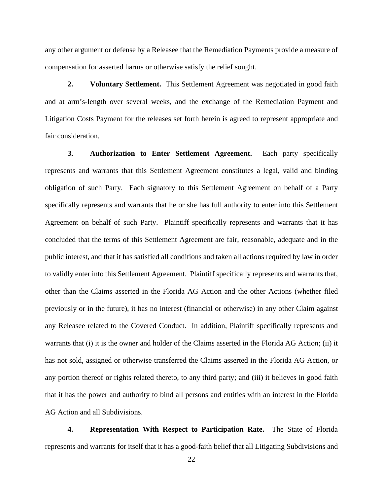any other argument or defense by a Releasee that the Remediation Payments provide a measure of compensation for asserted harms or otherwise satisfy the relief sought.

**2. Voluntary Settlement.** This Settlement Agreement was negotiated in good faith and at arm's-length over several weeks, and the exchange of the Remediation Payment and Litigation Costs Payment for the releases set forth herein is agreed to represent appropriate and fair consideration.

**3. Authorization to Enter Settlement Agreement.** Each party specifically represents and warrants that this Settlement Agreement constitutes a legal, valid and binding obligation of such Party. Each signatory to this Settlement Agreement on behalf of a Party specifically represents and warrants that he or she has full authority to enter into this Settlement Agreement on behalf of such Party. Plaintiff specifically represents and warrants that it has concluded that the terms of this Settlement Agreement are fair, reasonable, adequate and in the public interest, and that it has satisfied all conditions and taken all actions required by law in order to validly enter into this Settlement Agreement. Plaintiff specifically represents and warrants that, other than the Claims asserted in the Florida AG Action and the other Actions (whether filed previously or in the future), it has no interest (financial or otherwise) in any other Claim against any Releasee related to the Covered Conduct. In addition, Plaintiff specifically represents and warrants that (i) it is the owner and holder of the Claims asserted in the Florida AG Action; (ii) it has not sold, assigned or otherwise transferred the Claims asserted in the Florida AG Action, or any portion thereof or rights related thereto, to any third party; and (iii) it believes in good faith that it has the power and authority to bind all persons and entities with an interest in the Florida AG Action and all Subdivisions.

**4. Representation With Respect to Participation Rate.** The State of Florida represents and warrants for itself that it has a good-faith belief that all Litigating Subdivisions and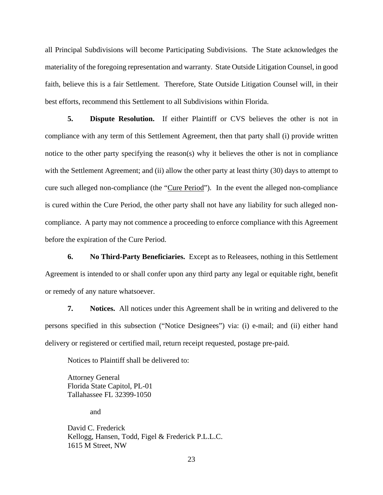all Principal Subdivisions will become Participating Subdivisions. The State acknowledges the materiality of the foregoing representation and warranty. State Outside Litigation Counsel, in good faith, believe this is a fair Settlement. Therefore, State Outside Litigation Counsel will, in their best efforts, recommend this Settlement to all Subdivisions within Florida.

**5. Dispute Resolution.** If either Plaintiff or CVS believes the other is not in compliance with any term of this Settlement Agreement, then that party shall (i) provide written notice to the other party specifying the reason(s) why it believes the other is not in compliance with the Settlement Agreement; and (ii) allow the other party at least thirty (30) days to attempt to cure such alleged non-compliance (the "Cure Period"). In the event the alleged non-compliance is cured within the Cure Period, the other party shall not have any liability for such alleged noncompliance. A party may not commence a proceeding to enforce compliance with this Agreement before the expiration of the Cure Period.

**6. No Third-Party Beneficiaries.** Except as to Releasees, nothing in this Settlement Agreement is intended to or shall confer upon any third party any legal or equitable right, benefit or remedy of any nature whatsoever.

**7. Notices.** All notices under this Agreement shall be in writing and delivered to the persons specified in this subsection ("Notice Designees") via: (i) e-mail; and (ii) either hand delivery or registered or certified mail, return receipt requested, postage pre-paid.

Notices to Plaintiff shall be delivered to:

Attorney General Florida State Capitol, PL-01 Tallahassee FL 32399-1050

and

David C. Frederick Kellogg, Hansen, Todd, Figel & Frederick P.L.L.C. 1615 M Street, NW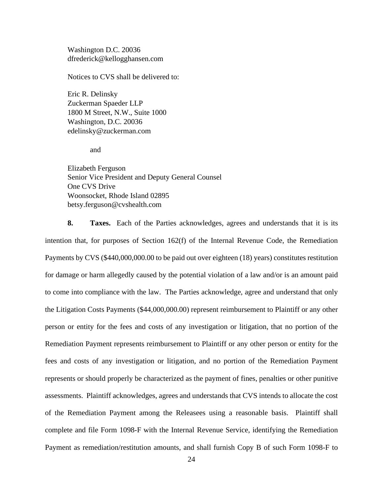Washington D.C. 20036 dfrederick@kellogghansen.com

Notices to CVS shall be delivered to:

Eric R. Delinsky Zuckerman Spaeder LLP 1800 M Street, N.W., Suite 1000 Washington, D.C. 20036 edelinsky@zuckerman.com

and

Elizabeth Ferguson Senior Vice President and Deputy General Counsel One CVS Drive Woonsocket, Rhode Island 02895 betsy.ferguson@cvshealth.com

**8. Taxes.** Each of the Parties acknowledges, agrees and understands that it is its intention that, for purposes of Section 162(f) of the Internal Revenue Code, the Remediation Payments by CVS (\$440,000,000.00 to be paid out over eighteen (18) years) constitutes restitution for damage or harm allegedly caused by the potential violation of a law and/or is an amount paid to come into compliance with the law. The Parties acknowledge, agree and understand that only the Litigation Costs Payments (\$44,000,000.00) represent reimbursement to Plaintiff or any other person or entity for the fees and costs of any investigation or litigation, that no portion of the Remediation Payment represents reimbursement to Plaintiff or any other person or entity for the fees and costs of any investigation or litigation, and no portion of the Remediation Payment represents or should properly be characterized as the payment of fines, penalties or other punitive assessments. Plaintiff acknowledges, agrees and understands that CVS intends to allocate the cost of the Remediation Payment among the Releasees using a reasonable basis. Plaintiff shall complete and file Form 1098-F with the Internal Revenue Service, identifying the Remediation Payment as remediation/restitution amounts, and shall furnish Copy B of such Form 1098-F to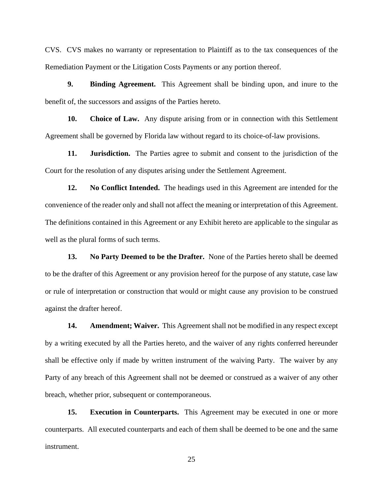CVS. CVS makes no warranty or representation to Plaintiff as to the tax consequences of the Remediation Payment or the Litigation Costs Payments or any portion thereof.

**9. Binding Agreement.** This Agreement shall be binding upon, and inure to the benefit of, the successors and assigns of the Parties hereto.

**10. Choice of Law.** Any dispute arising from or in connection with this Settlement Agreement shall be governed by Florida law without regard to its choice-of-law provisions.

**11. Jurisdiction.** The Parties agree to submit and consent to the jurisdiction of the Court for the resolution of any disputes arising under the Settlement Agreement.

**12. No Conflict Intended.** The headings used in this Agreement are intended for the convenience of the reader only and shall not affect the meaning or interpretation of this Agreement. The definitions contained in this Agreement or any Exhibit hereto are applicable to the singular as well as the plural forms of such terms.

**13. No Party Deemed to be the Drafter.** None of the Parties hereto shall be deemed to be the drafter of this Agreement or any provision hereof for the purpose of any statute, case law or rule of interpretation or construction that would or might cause any provision to be construed against the drafter hereof.

**14. Amendment; Waiver.** This Agreement shall not be modified in any respect except by a writing executed by all the Parties hereto, and the waiver of any rights conferred hereunder shall be effective only if made by written instrument of the waiving Party. The waiver by any Party of any breach of this Agreement shall not be deemed or construed as a waiver of any other breach, whether prior, subsequent or contemporaneous.

**15. Execution in Counterparts.** This Agreement may be executed in one or more counterparts. All executed counterparts and each of them shall be deemed to be one and the same instrument.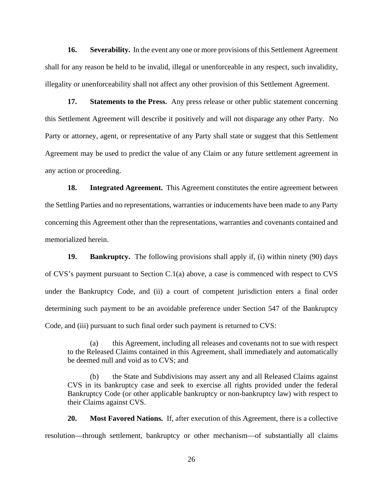**16. Severability.** In the event any one or more provisions of this Settlement Agreement shall for any reason be held to be invalid, illegal or unenforceable in any respect, such invalidity, illegality or unenforceability shall not affect any other provision of this Settlement Agreement.

**17. Statements to the Press.** Any press release or other public statement concerning this Settlement Agreement will describe it positively and will not disparage any other Party. No Party or attorney, agent, or representative of any Party shall state or suggest that this Settlement Agreement may be used to predict the value of any Claim or any future settlement agreement in any action or proceeding.

**18. Integrated Agreement.** This Agreement constitutes the entire agreement between the Settling Parties and no representations, warranties or inducements have been made to any Party concerning this Agreement other than the representations, warranties and covenants contained and memorialized herein.

**19. Bankruptcy.** The following provisions shall apply if, (i) within ninety (90) days of CVS's payment pursuant to Section C.1(a) above, a case is commenced with respect to CVS under the Bankruptcy Code, and (ii) a court of competent jurisdiction enters a final order determining such payment to be an avoidable preference under Section 547 of the Bankruptcy Code, and (iii) pursuant to such final order such payment is returned to CVS:

(a) this Agreement, including all releases and covenants not to sue with respect to the Released Claims contained in this Agreement, shall immediately and automatically be deemed null and void as to CVS; and

(b) the State and Subdivisions may assert any and all Released Claims against CVS in its bankruptcy case and seek to exercise all rights provided under the federal Bankruptcy Code (or other applicable bankruptcy or non-bankruptcy law) with respect to their Claims against CVS.

**20. Most Favored Nations.** If, after execution of this Agreement, there is a collective resolution—through settlement, bankruptcy or other mechanism—of substantially all claims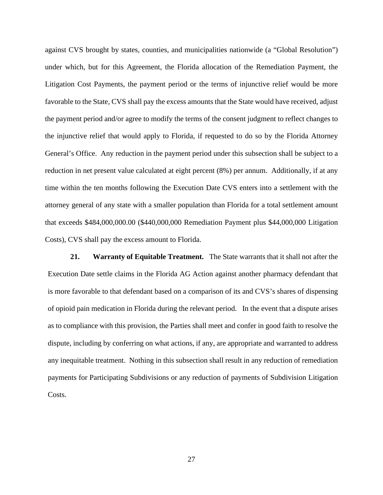against CVS brought by states, counties, and municipalities nationwide (a "Global Resolution") under which, but for this Agreement, the Florida allocation of the Remediation Payment, the Litigation Cost Payments, the payment period or the terms of injunctive relief would be more favorable to the State, CVS shall pay the excess amounts that the State would have received, adjust the payment period and/or agree to modify the terms of the consent judgment to reflect changes to the injunctive relief that would apply to Florida, if requested to do so by the Florida Attorney General's Office. Any reduction in the payment period under this subsection shall be subject to a reduction in net present value calculated at eight percent (8%) per annum. Additionally, if at any time within the ten months following the Execution Date CVS enters into a settlement with the attorney general of any state with a smaller population than Florida for a total settlement amount that exceeds \$484,000,000.00 (\$440,000,000 Remediation Payment plus \$44,000,000 Litigation Costs), CVS shall pay the excess amount to Florida.

**21. Warranty of Equitable Treatment.** The State warrants that it shall not after the Execution Date settle claims in the Florida AG Action against another pharmacy defendant that is more favorable to that defendant based on a comparison of its and CVS's shares of dispensing of opioid pain medication in Florida during the relevant period. In the event that a dispute arises as to compliance with this provision, the Parties shall meet and confer in good faith to resolve the dispute, including by conferring on what actions, if any, are appropriate and warranted to address any inequitable treatment. Nothing in this subsection shall result in any reduction of remediation payments for Participating Subdivisions or any reduction of payments of Subdivision Litigation Costs.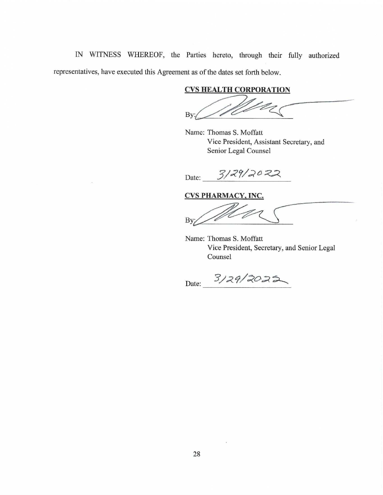IN WITNESS WHEREOF, the Parties hereto, through their fully authorized representatives, have executed this Agreement as of the dates set forth below.

## **CVS HEALTH CORPORATION**

Bv:

Name: Thomas S. Moffatt Vice President, Assistant Secretary, and Senior Legal Counsel

 $3/29/2022$ Date:

**CVS PHARMACY, INC.** 

By:

Name: Thomas S. Moffatt Vice President, Secretary, and Senior Legal Counsel

Date: 3/29/2025